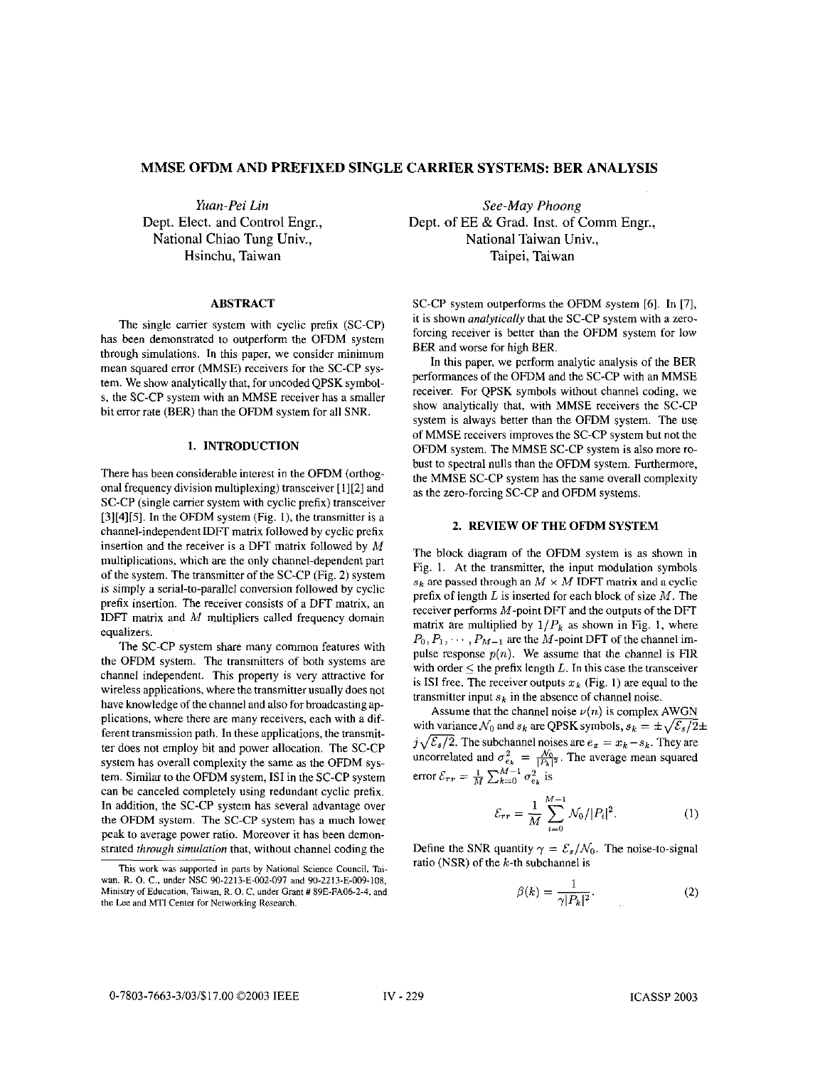# **MMSE OFDM AND PREFIXED SINGLE CARRIER SYSTEMS: BER ANALYSIS**

*Yuan-Pei Lin*  Dept. Elect. and Control Engr., National Chiao Tung Univ., Hsinchu, Taiwan

## **ABSTRACT**

The single carrier system with cyclic prefix (SC-CP) has been demonstrated to outperform the OFDM system through simulations. In this paper, we consider minimum mean squared error (MMSE) receivers for the SC-CP system. We show analytically that, for uncoded QPSK symbol**s,** the SC-CP system with an MMSE receiver has a smaller bit error rate (BER) than the OFDM system for all SNR.

# **1. INTRODUCTION**

There has been considerable interest in the OFDM (orthogonal frequency division multiplexing) transceiver [ 1][2] and SC-CP (single carrier system with cyclic prefix) transceiver  $[3][4][5]$ . In the OFDM system (Fig. 1), the transmitter is a channel-independent IDFI matrix followed by cyclic prefix insertion and the receiver is a DFT matrix followed by *M*  multiplications, which are the only channel-dependent part of the system. The transmitter of the SC-CP (Fig. 2) system is simply a serial-to-parallel conversion followed by cyclic prefix insertion. The receiver consists of a DFT matrix, an IDFT matrix and *M* multipliers called frequency domain equalizers.

The SC-CP system share many common features with the OFDM system. The transmitters of both systems are channel independent. This property **is** very attractive for wireless applications, where the transmitter usually does not have knowledge of the channel and also for broadcasting applications, where there are many receivers, each with a different transmission path. In these applications, the transmitter does not employ bit and power allocation. The SC-CP system has overall complexity the same as the OFDM system. Similar to the OFDM system, IS1 in the SC-CP system can be canceled completely using redundant cyclic prefix. In addition, the SC-CP system has several advantage over the OFDM system. The SC-CP system has a much lower peak to average power ratio. Moreover it has been demonstrated *tkmugk simulation* that, without channel coding the

*See-May Phoong*  Dept. of EE & Grad. Inst. of Comm Engr., National Taiwan Univ., Taipei, Taiwan

SC-CP system outperforms the OFDM system [6]. In [7], it is shown *analytically* that the SC-CP system with a zeroforcing receiver is better than the OFDM system for low BER and worse **for** high BER.

In this paper, we perform analytic analysis of the **BER**  performances of the OFDM and the SC-CP with an MMSE receiver. For QPSK symbols without channel coding, we show analytically that, with MMSE receivers the SC-CP system **is** always better than the OFDM system. The use of MMSE receivers improves the SC-CP system but not the OFDM system. The MMSE SC-CP system is also more robust to spectral nulls than the OFDM system. Furthermore, the MMSE SC-CP system has the same overall complexity as the zero-forcing SC-CP and OFDM systems.

## **2. REVIEW OF THE OFDM SYSTEM**

The block diagram of the OFDM system is as shown in Fig. **1.** At the transmitter, the input modulation symbols  $s_k$  are passed through an  $M \times M$  IDFT matrix and a cyclic prefix of length *L* is inserted for each block of size *M.* The receiver performs  $M$ -point DFT and the outputs of the DFT matrix are multiplied by  $1/P_k$  as shown in Fig. 1, where  $P_0, P_1, \cdots, P_{M-1}$  are the M-point DFT of the channel impulse response  $p(n)$ . We assume that the channel is  $FIR$ with order  $\leq$  the prefix length *L*. In this case the transceiver is ISI free. The receiver outputs  $x_k$  (Fig. 1) are equal to the transmitter input  $s_k$  in the absence of channel noise.

Assume that the channel noise  $\nu(n)$  is complex AWGN with variance  $\mathcal{N}_0$  and  $s_k$  are QPSK symbols,  $s_k = \pm \sqrt{\mathcal{E}_s/2} \pm \sqrt{\mathcal{E}_s/2}$ Assume that the channel noise  $v(n)$  is complex AWGN<br>with variance  $N_0$  and  $s_k$  are QPSK symbols,  $s_k = \pm \sqrt{\mathcal{E}_s/2}$ :<br> $j\sqrt{\mathcal{E}_s/2}$ . The subchannel noises are  $e_x = x_k - s_k$ . They are with variance  $N_0$  and  $s_k$  are QPSK symbols,  $s_k = \pm \sqrt{\varepsilon_s/2}$ :<br>  $j\sqrt{\varepsilon_s/2}$ . The subchannel noises are  $e_x = x_k - s_k$ . They are uncorrelated and  $\sigma_{e_k}^2 = \frac{N_0}{|P_k|^2}$ . The average mean squared error  $\mathcal{E}_{rr} = \frac{1}{M} \sum_{k=0}^{M-1} \sigma_{e_k}^2$  is

$$
\mathcal{E}_{rr} = \frac{1}{M} \sum_{i=0}^{M-1} \mathcal{N}_0 / |P_i|^2.
$$
 (1)

Define the SNR quantity  $\gamma = \mathcal{E}_s/\mathcal{N}_0$ . The noise-to-signal ratio (NSR) of the  $k$ -th subchannel is

$$
\beta(k) = \frac{1}{\gamma |P_k|^2}.\tag{2}
$$

This work was **supported** in **pans by** National Science Council, Taiwan, R. O. C., under NSC 90-2213-E-002-097 and 90-2213-E-009-108, Ministry of Education, Taiwan, R. *0.* C, under Grant # **89E-FA06-2-4,** and the **Lee** and MTI **Cenler** for Networking **Research.**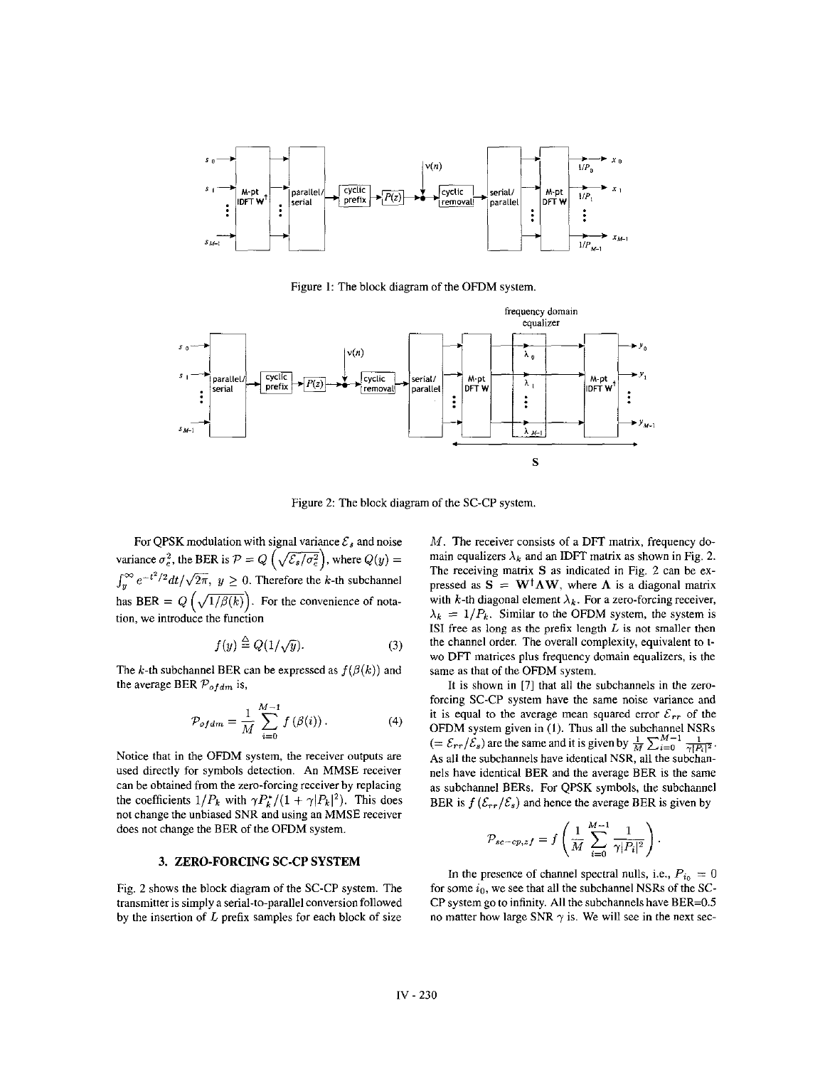<span id="page-1-0"></span>

Figure 1: The block diagram of the OFDM system



Figure 2: The block diagram of the SC-CP system.

For QPSK modulation with signal variance  $\mathcal{E}_s$  and noise Figure 2: The block diagrar<br>For QPSK modulation with signal variance  $\mathcal{E}_s$  and noise<br>variance  $\sigma_e^2$ , the BER is  $\mathcal{P} = Q\left(\sqrt{\mathcal{E}_s/\sigma_e^2}\right)$ , where  $Q(y) =$ <br> $f^{\infty}e^{-t^2/2}dt/\sqrt{2\pi}$ ,  $y > 0$ . Therefore the *k* th subs  $\int_{u}^{\infty} e^{-t^2/2} dt/\sqrt{2\pi}$ ,  $y \ge 0$ . Therefore the k-th subchannel For QPSK modulation with signal variance  $\mathcal{E}_s$  and noise<br>variance  $\sigma_e^2$ , the BER is  $\mathcal{P} = Q\left(\sqrt{\mathcal{E}_s/\sigma_e^2}\right)$ , where  $Q(y) =$ <br> $\int_y^{\infty} e^{-t^2/2} dt/\sqrt{2\pi}$ ,  $y \ge 0$ . Therefore the *k*-th subchannel<br>has BER =  $Q\left(\sqrt{1$ tion, we introduce the function

$$
f(y) \stackrel{\triangle}{=} Q(1/\sqrt{y}).\tag{3}
$$

The k-th subchannel BER can be expressed as  $f(\beta(k))$  and the average BER *Pofdm* is,

$$
\mathcal{P}_{of\,dm} = \frac{1}{M} \sum_{i=0}^{M-1} f(\beta(i)) \,. \tag{4}
$$

Notice that in the OFDM system, the receiver outputs are used directly for symbols detection. An MMSE receiver can be obtained from the zero-forcing receiver by replacing the coefficients  $1/P_k$  with  $\gamma P_k^*/(1 + \gamma |P_k|^2)$ . This does not change the unbiased SNR and using an MMSE receiver does not change the BER of the OFDM system.

# **3. ZERO-FORCING SC-CP SYSTEM**

Fig. **2** shows the block diagram of the SC-CP system. The transmitter is simply **a** serial-to-parallel conversion followed by the insertion of *L* prefix samples for each block of size *M*. The receiver consists of a DFT matrix, frequency domain equalizers  $\lambda_k$  and an IDFT matrix as shown in Fig. 2. The receiving matrix S **as** indicated in Fig. 2 can be expressed as  $S = W^{\dagger} \Lambda W$ , where  $\Lambda$  is a diagonal matrix with k-th diagonal element  $\lambda_k$ . For a zero-forcing receiver,  $\lambda_k = 1/P_k$ . Similar to the OFDM system, the system is **IS1** free **as** long **as** the prefix length L **is not** smaller then the channel order. The overall complexity, equivalent to two DFT matrices plus frequency domain equalizers, is the same **as** that of the OFDM system.

It **is** shown in **[7]** that all the subchannels in the zeroforcing SC-CP system have the same noise variance and it is equal to the average mean squared error  $\mathcal{E}_{rr}$  of the OFDM system given in (1). Thus all the subchannel NSRs  $(=\mathcal{E}_{rr}/\mathcal{E}_s)$  are the same and it is given by  $\frac{1}{M}\sum_{i=0}^{M-1} \frac{1}{\gamma |P_i|^2}$ . As all the subchannels have identical NSR, all the subchannels have identical BER and the average BER is the same **as** subchannel BERs. For QPSK symbols, the subchannel BER is  $f(\mathcal{E}_{rr}/\mathcal{E}_s)$  and hence the average BER is given by

$$
\mathcal{P}_{sc-cp,zf} = f\left(\frac{1}{M}\sum_{i=0}^{M-1} \frac{1}{\gamma |P_i|^2}\right).
$$

In the presence of channel spectral nulls, i.e.,  $P_{i_0} = 0$ for some *io,* we see that all the subchannel NSRs of the SC-CP system go to infinity. All the subchannels have BER=0.5 no matter how large SNR  $\gamma$  is. We will see in the next sec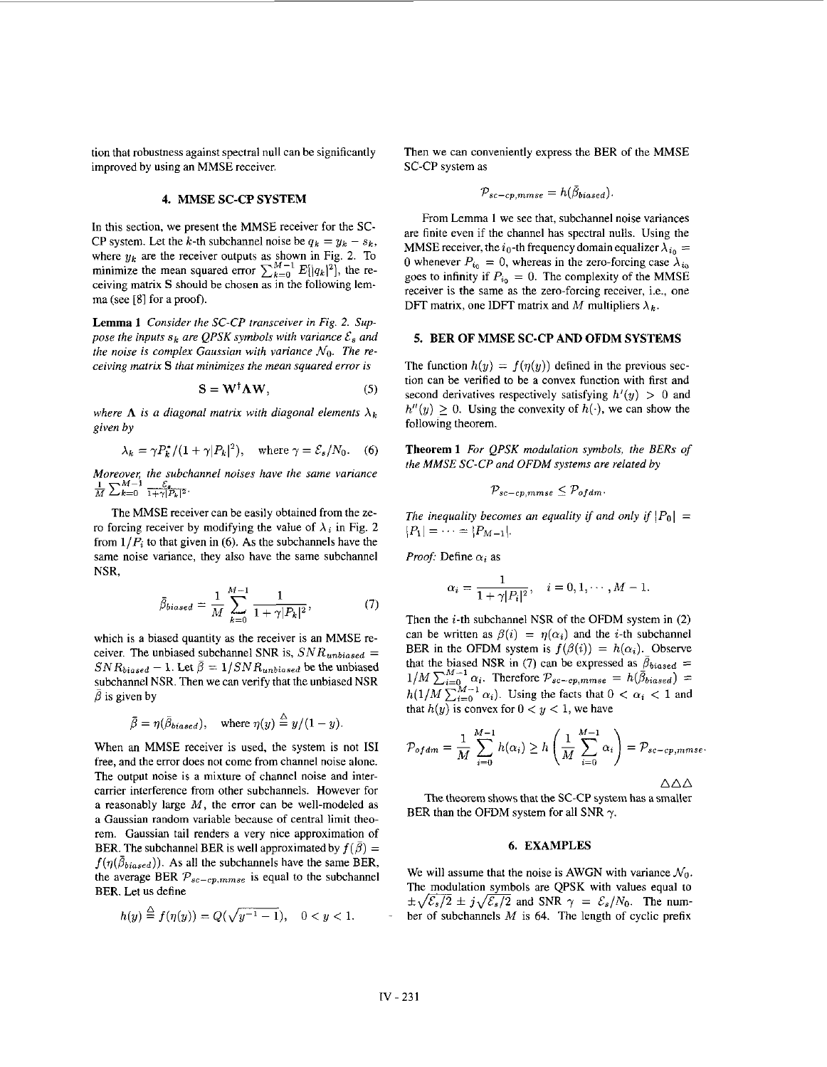tion that robustness against spectral null can be significantly improved by using **an** MMSE receiver.

# **4. MMSE SC-CP SYSTEM**  $\mathcal{P}$

ceiving matrix S should be chosen **as** in the following lemma (see [SI for a proof).

**Lemma 1** *Consider the SC-CP transceiver in [Fig. 2.](#page-1-0) Suppose the inputs*  $s_k$  *are QPSK symbols with variance*  $\mathcal{E}_s$  and *the noise is complex Gaussian with variance*  $N_0$ . The re*ceiving matrix* **S** *that minimizes the mean squared error is* 

$$
S = W^{\dagger} \Lambda W, \tag{5}
$$

where  $\Lambda$  is a diagonal matrix with diagonal elements  $\lambda_k$ *given by* 

$$
\lambda_k = \gamma P_k^* / (1 + \gamma |P_k|^2), \quad \text{where } \gamma = \mathcal{E}_s / N_0. \quad (6)
$$

*Moreover; the subchannel noises have the same variance*   $\overline{M}$   $\sum_{k=0}$   $\overline{1+1}$ 

The MMSE receiver can he easily obtained from the zero forcing receiver by modifying the value of  $\lambda_i$  in [Fig.](#page-1-0) 2 from  $1/P_i$  to that given in (6). As the subchannels have the same noise variance, they **also** have the same subchannel NSR,

$$
\bar{\beta}_{biased} = \frac{1}{M} \sum_{k=0}^{M-1} \frac{1}{1 + \gamma |P_k|^2},
$$
\n(7)\n
$$
\alpha_i = \frac{\alpha_i}{1 + \gamma |P_i|^2},
$$
\nThen the *i*-th subchannel

which is a biased quantity **as** the receiver is an MMSE receiver. The unbiased subchannel SNR is,  $SNR_{unbiased}$  = suhchannel NSR. Then we can verify that the unbiased NSR  $SNR_{biased} - 1$ . Let  $\bar{\beta} = 1/SNR_{unbiased}$  be the unbiased  $\beta$  is given by

$$
\bar{\beta} = \eta(\bar{\beta}_{biased}), \quad \text{where } \eta(y) \stackrel{\triangle}{=} y/(1-y).
$$

When an MMSE receiver is used, the system is not IS1 free, and the error does not come from channel noise alone. The output noise is a mixture of channel noise and intercarrier interference from other subchannels. However for a reasonably large *M,* the error can be well-modeled **as**  a Gaussian random variable because of central limit theorem. Gaussian tail renders a very nice approximation of BER. The subchannel BER is well approximated by  $f(\bar{\beta}) =$  $f(\eta(\bar{\beta}_{biased}))$ . As all the subchannels have the same BER, BER. Let **us** define the average BER  $\mathcal{P}_{sc-cp,mmse}$  is equal to the subchannel We will assume that the noise is AWGN with variance  $\mathcal{N}_0$ .<br>
The modulation symbols are QPSK with values equal to

$$
h(y) \stackrel{\triangle}{=} f(\eta(y)) = Q(\sqrt{y^{-1} - 1}), \quad 0 < y < 1.
$$

Then we can conveniently express the BER of the MMSE SC-CP system as

$$
P_{sc-cp,mmse} = h(\bar{\beta}_{biased}).
$$

From Lemma I we see that, suhchannel noise variances MMSE receiver, the  $i_0$ -th frequency domain equalizer  $\lambda_{i_0} =$ 0 whenever  $P_{i_0} = 0$ , whereas in the zero-forcing case  $\lambda_{i_0}$  goes to infinity if  $P_{i_0} = 0$ . The complexity of the MMSE receiver is the same as the zero-forcing receiver, i.e., onc DFT matrix, one IDFT matrix and M multipliers  $\lambda_k$ . In this section, we present the MMSE receiver for the SC-<br>CP system. Let the k-th subchannel noise be  $q_k = y_k - s_k$ , **MSE** required the channel has spectral nulls. Using the where  $y_k$  are the receiver outputs as shown in [Fig.](#page-1-0) 2. To <br>
minimize the mean squared error  $\sum_{k=0}^{M-1} E[|q_k|^2]$ , the re-<br>
coiving metrix **S** should be absent as in the following lem<br>
coiving the  $p_{i_0} = 0$ . The compl

# **5. BER OF MMSE SC-CP AND OFDM SYSTEMS**

The function  $h(y) = f(\eta(y))$  defined in the previous section can he verified to be a convex function with first and second derivatives respectively satisfying  $h'(y) > 0$  and  $h''(y) > 0$ . Using the convexity of  $h(\cdot)$ , we can show the following theorem.

**Theorem 1** *For QPSK modularion symbols, the BERs of the MMSE SC-CP and OFDM systems are related by* 

$$
\mathcal{P}_{sc-cp,mmse} \leq \mathcal{P}_{ofdm}.
$$

*The inequality becomes an equality if and only if*  $|P_0|$  =  $|P_1| = \cdots = |P_{M-1}|.$ 

*Proof:* Define  $\alpha_i$  as

$$
\alpha_i = \frac{1}{1 + \gamma |P_i|^2}, \quad i = 0, 1, \cdots, M - 1.
$$

*hiased Then the i-th subchannel NSR of the OFDM system in (2) n* can be written as  $\beta(i) = \eta(\alpha_i)$  and the *i*-th subchannel BER in the OFDM system is  $f(\beta(i)) = h(\alpha_i)$ . Observe that the biased NSR in (7) can be expressed as  $\bar{\beta}_{biased} = 1/M \sum_{i=0}^{M-1} \alpha_i$ . Therefore  $\mathcal{P}_{sc-cp,mmse} = h(\bar{\beta}_{biased}) =$  $h(1/M \sum_{i=0}^{M-1} \alpha_i)$ . Using the facts that  $0 < \alpha_i < 1$  and that  $h(y)$  is convex for  $0 < y < 1$ , we have

$$
\mathcal{P}_{of\,dm} = \frac{1}{M} \sum_{i=0}^{M-1} h(\alpha_i) \ge h\left(\frac{1}{M} \sum_{i=0}^{M-1} \alpha_i\right) = \mathcal{P}_{sc-cp,mmse}
$$

 $\triangle$  $\triangle$  $\triangle$ 

The theorem shows that the SC-CP system has a smaller BER than the OFDM system for all SNR  $\gamma$ .

#### **6. EXAMPLES**

 $\pm \sqrt{\mathcal{E}_s/2} \pm j \sqrt{\mathcal{E}_s/2}$  and SNR  $\gamma = \mathcal{E}_s/N_0$ . The number of subchannels *M* is 64. The length of cyclic prefix